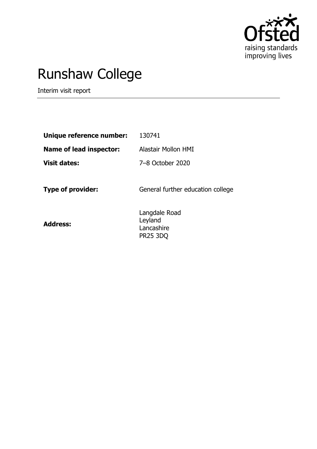

# Runshaw College

Interim visit report

| 130741                                                    |
|-----------------------------------------------------------|
| Alastair Mollon HMI                                       |
| 7-8 October 2020                                          |
| General further education college                         |
| Langdale Road<br>Leyland<br>Lancashire<br><b>PR25 3DQ</b> |
|                                                           |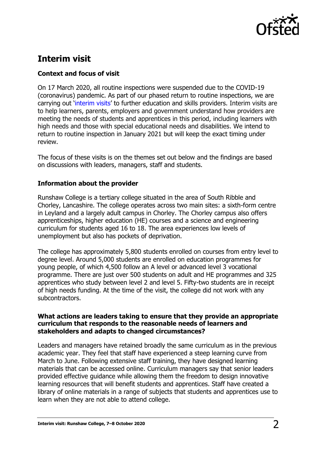

# **Interim visit**

# **Context and focus of visit**

On 17 March 2020, all routine inspections were suspended due to the COVID-19 (coronavirus) pandemic. As part of our phased return to routine inspections, we are carrying out '[interim visits](https://www.gov.uk/guidance/interim-phase-further-education-and-skills-providers#interim-visits)' to further education and skills providers. Interim visits are to help learners, parents, employers and government understand how providers are meeting the needs of students and apprentices in this period, including learners with high needs and those with special educational needs and disabilities. We intend to return to routine inspection in January 2021 but will keep the exact timing under review.

The focus of these visits is on the themes set out below and the findings are based on discussions with leaders, managers, staff and students.

## **Information about the provider**

Runshaw College is a tertiary college situated in the area of South Ribble and Chorley, Lancashire. The college operates across two main sites: a sixth-form centre in Leyland and a largely adult campus in Chorley. The Chorley campus also offers apprenticeships, higher education (HE) courses and a science and engineering curriculum for students aged 16 to 18. The area experiences low levels of unemployment but also has pockets of deprivation.

The college has approximately 5,800 students enrolled on courses from entry level to degree level. Around 5,000 students are enrolled on education programmes for young people, of which 4,500 follow an A level or advanced level 3 vocational programme. There are just over 500 students on adult and HE programmes and 325 apprentices who study between level 2 and level 5. Fifty-two students are in receipt of high needs funding. At the time of the visit, the college did not work with any subcontractors.

#### **What actions are leaders taking to ensure that they provide an appropriate curriculum that responds to the reasonable needs of learners and stakeholders and adapts to changed circumstances?**

Leaders and managers have retained broadly the same curriculum as in the previous academic year. They feel that staff have experienced a steep learning curve from March to June. Following extensive staff training, they have designed learning materials that can be accessed online. Curriculum managers say that senior leaders provided effective guidance while allowing them the freedom to design innovative learning resources that will benefit students and apprentices. Staff have created a library of online materials in a range of subjects that students and apprentices use to learn when they are not able to attend college.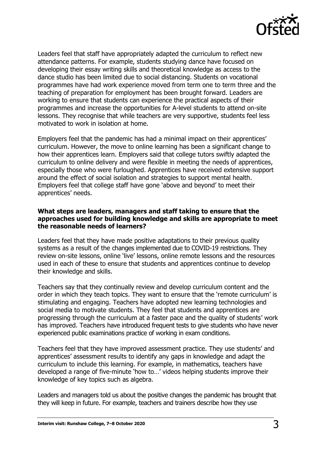

Leaders feel that staff have appropriately adapted the curriculum to reflect new attendance patterns. For example, students studying dance have focused on developing their essay writing skills and theoretical knowledge as access to the dance studio has been limited due to social distancing. Students on vocational programmes have had work experience moved from term one to term three and the teaching of preparation for employment has been brought forward. Leaders are working to ensure that students can experience the practical aspects of their programmes and increase the opportunities for A-level students to attend on-site lessons. They recognise that while teachers are very supportive, students feel less motivated to work in isolation at home.

Employers feel that the pandemic has had a minimal impact on their apprentices' curriculum. However, the move to online learning has been a significant change to how their apprentices learn. Employers said that college tutors swiftly adapted the curriculum to online delivery and were flexible in meeting the needs of apprentices, especially those who were furloughed. Apprentices have received extensive support around the effect of social isolation and strategies to support mental health. Employers feel that college staff have gone 'above and beyond' to meet their apprentices' needs.

### **What steps are leaders, managers and staff taking to ensure that the approaches used for building knowledge and skills are appropriate to meet the reasonable needs of learners?**

Leaders feel that they have made positive adaptations to their previous quality systems as a result of the changes implemented due to COVID-19 restrictions. They review on-site lessons, online 'live' lessons, online remote lessons and the resources used in each of these to ensure that students and apprentices continue to develop their knowledge and skills.

Teachers say that they continually review and develop curriculum content and the order in which they teach topics. They want to ensure that the 'remote curriculum' is stimulating and engaging. Teachers have adopted new learning technologies and social media to motivate students. They feel that students and apprentices are progressing through the curriculum at a faster pace and the quality of students' work has improved. Teachers have introduced frequent tests to give students who have never experienced public examinations practice of working in exam conditions.

Teachers feel that they have improved assessment practice. They use students' and apprentices' assessment results to identify any gaps in knowledge and adapt the curriculum to include this learning. For example, in mathematics, teachers have developed a range of five-minute 'how to…' videos helping students improve their knowledge of key topics such as algebra.

Leaders and managers told us about the positive changes the pandemic has brought that they will keep in future. For example, teachers and trainers describe how they use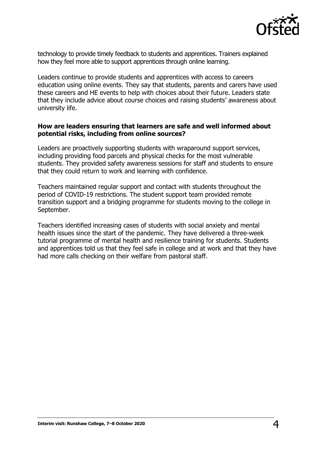

technology to provide timely feedback to students and apprentices. Trainers explained how they feel more able to support apprentices through online learning.

Leaders continue to provide students and apprentices with access to careers education using online events. They say that students, parents and carers have used these careers and HE events to help with choices about their future. Leaders state that they include advice about course choices and raising students' awareness about university life.

### **How are leaders ensuring that learners are safe and well informed about potential risks, including from online sources?**

Leaders are proactively supporting students with wraparound support services, including providing food parcels and physical checks for the most vulnerable students. They provided safety awareness sessions for staff and students to ensure that they could return to work and learning with confidence.

Teachers maintained regular support and contact with students throughout the period of COVID-19 restrictions. The student support team provided remote transition support and a bridging programme for students moving to the college in September.

Teachers identified increasing cases of students with social anxiety and mental health issues since the start of the pandemic. They have delivered a three-week tutorial programme of mental health and resilience training for students. Students and apprentices told us that they feel safe in college and at work and that they have had more calls checking on their welfare from pastoral staff.